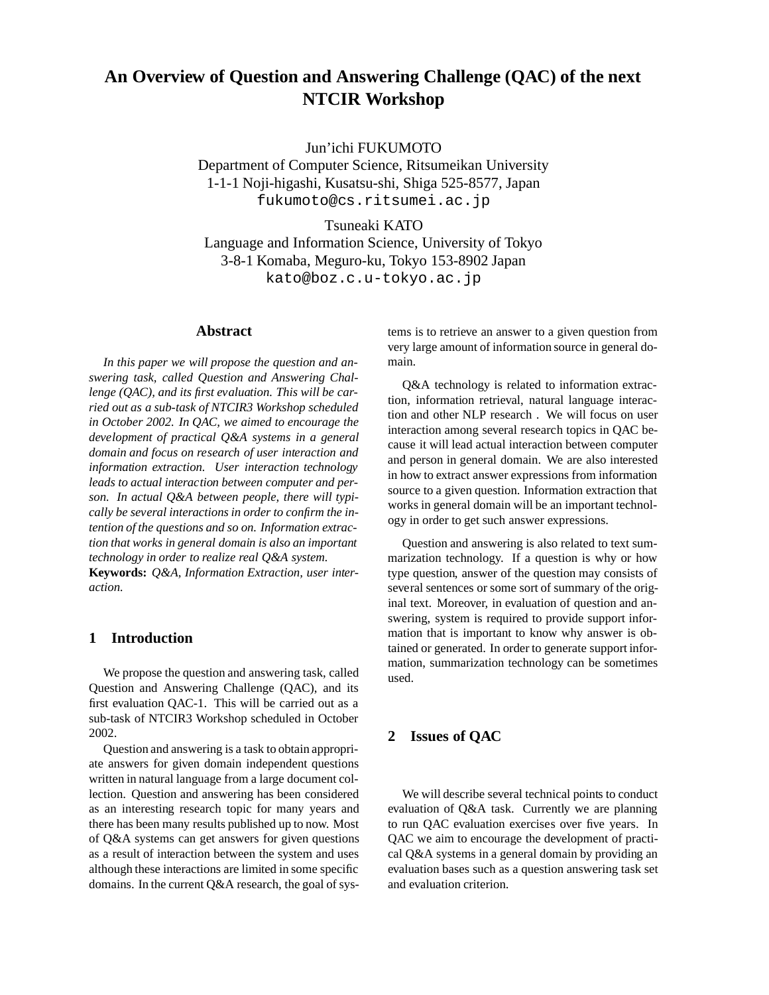# **An Overview of Question and Answering Challenge (QAC) of the next NTCIR Workshop**

Jun'ichi FUKUMOTO

Department of Computer Science, Ritsumeikan University 1-1-1 Noji-higashi, Kusatsu-shi, Shiga 525-8577, Japan fukumoto@cs.ritsumei.ac.jp

Tsuneaki KATO Language and Information Science, University of Tokyo 3-8-1 Komaba, Meguro-ku, Tokyo 153-8902 Japan kato@boz.c.u-tokyo.ac.jp

### **Abstract**

*In this paper we will propose the question and answering task, called Question and Answering Challenge (QAC), and its first evaluation. This will be carried out as a sub-task of NTCIR3 Workshop scheduled in October 2002. In QAC, we aimed to encourage the development of practical Q&A systems in a general domain and focus on research of user interaction and information extraction. User interaction technology leads to actual interaction between computer and person. In actual Q&A between people, there will typically be several interactionsin order to confirm the intention of the questions and so on. Information extraction that works in general domain is also an important technology in order to realize real Q&A system.* **Keywords:** *Q&A, Information Extraction, user inter-*

### **1 Introduction**

*action.*

We propose the question and answering task, called Question and Answering Challenge (QAC), and its first evaluation QAC-1. This will be carried out as a sub-task of NTCIR3 Workshop scheduled in October 2002.

Question and answering is a task to obtain appropriate answers for given domain independent questions written in natural language from a large document collection. Question and answering has been considered as an interesting research topic for many years and there has been many results published up to now. Most of Q&A systems can get answers for given questions as a result of interaction between the system and uses although these interactions are limited in some specific domains. In the current  $Q&A$  research, the goal of systems is to retrieve an answer to a given question from very large amount of information source in general domain.

Q&A technology is related to information extraction, information retrieval, natural language interaction and other NLP research . We will focus on user interaction among several research topics in QAC because it will lead actual interaction between computer and person in general domain. We are also interested in how to extract answer expressions from information source to a given question. Information extraction that works in general domain will be an important technology in order to get such answer expressions.

Question and answering is also related to text summarization technology. If a question is why or how type question, answer of the question may consists of several sentences or some sort of summary of the original text. Moreover, in evaluation of question and answering, system is required to provide support information that is important to know why answer is obtained or generated. In order to generate support information, summarization technology can be sometimes used.

### **2 Issues of QAC**

We will describe several technical points to conduct evaluation of Q&A task. Currently we are planning to run QAC evaluation exercises over five years. In QAC we aim to encourage the development of practical Q&A systems in a general domain by providing an evaluation bases such as a question answering task set and evaluation criterion.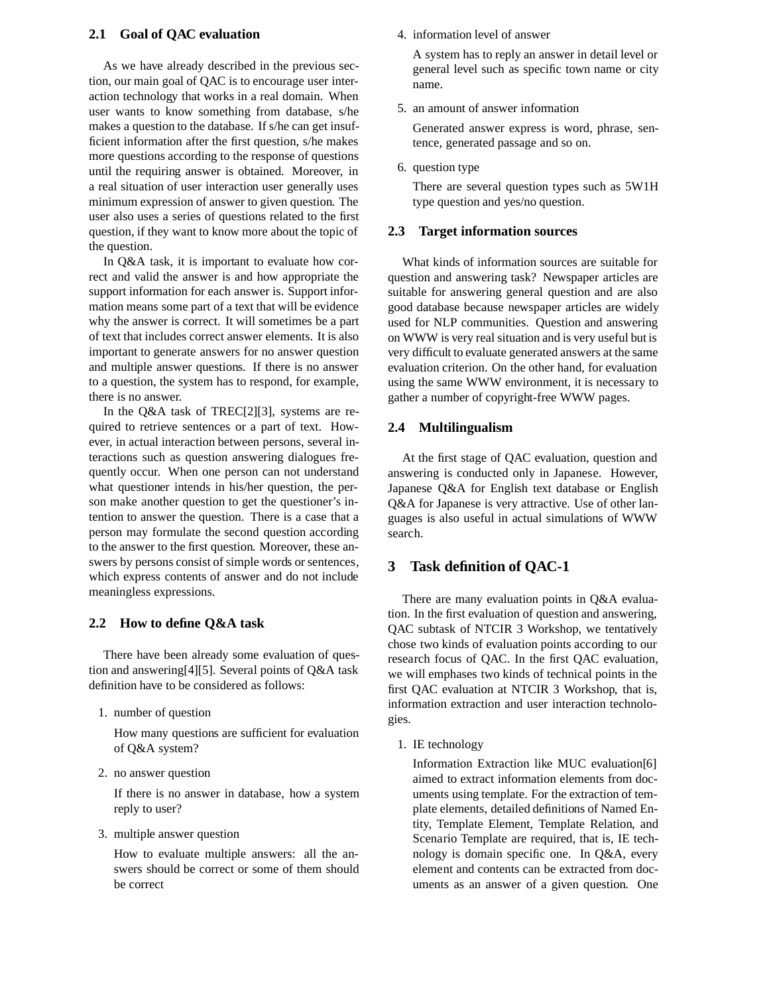### **2.1 Goal of QAC evaluation**

As we have already described in the previous section, our main goal of QAC is to encourage user interaction technology that works in a real domain. When user wants to know something from database, s/he makes a question to the database. If s/he can get insufficient information after the first question, s/he makes more questions according to the response of questions until the requiring answer is obtained. Moreover, in a real situation of user interaction user generally uses minimum expression of answer to given question. The user also uses a series of questions related to the first question, if they want to know more about the topic of the question.

In Q&A task, it is important to evaluate how correct and valid the answer is and how appropriate the support information for each answer is. Support information means some part of a text that will be evidence why the answer is correct. It will sometimes be a part of text that includes correct answer elements. It is also important to generate answers for no answer question and multiple answer questions. If there is no answer to a question, the system has to respond, for example, there is no answer.

In the Q&A task of TREC[2][3], systems are required to retrieve sentences or a part of text. However, in actual interaction between persons, several interactions such as question answering dialogues frequently occur. When one person can not understand what questioner intends in his/her question, the person make another question to get the questioner's intention to answer the question. There is a case that a person may formulate the second question according to the answer to the first question. Moreover, these answers by persons consist of simple words or sentences, which express contents of answer and do not include meaningless expressions.

### **2.2 How to define Q&A task**

There have been already some evaluation of question and answering[4][5]. Several points of Q&A task definition have to be considered as follows:

1. number of question

How many questions are sufficient for evaluation of Q&A system?

2. no answer question

If there is no answer in database, how a system reply to user?

3. multiple answer question

How to evaluate multiple answers: all the answers should be correct or some of them should be correct

#### 4. information level of answer

A system has to reply an answer in detail level or general level such as specific town name or city name.

5. an amount of answer information

Generated answer express is word, phrase, sentence, generated passage and so on.

6. question type

There are several question types such as 5W1H type question and yes/no question.

#### **2.3 Target information sources**

What kinds of information sources are suitable for question and answering task? Newspaper articles are suitable for answering general question and are also good database because newspaper articles are widely used for NLP communities. Question and answering on WWW is very real situation and is very useful but is very difficult to evaluate generated answers at the same evaluation criterion. On the other hand, for evaluation using the same WWW environment, it is necessary to gather a number of copyright-free WWW pages.

### **2.4 Multilingualism**

At the first stage of QAC evaluation, question and answering is conducted only in Japanese. However, Japanese Q&A for English text database or English Q&A for Japanese is very attractive. Use of other languages is also useful in actual simulations of WWW search.

### **3 Task definition of QAC-1**

There are many evaluation points in Q&A evaluation. In the first evaluation of question and answering, QAC subtask of NTCIR 3 Workshop, we tentatively chose two kinds of evaluation points according to our research focus of QAC. In the first QAC evaluation, we will emphases two kinds of technical points in the first QAC evaluation at NTCIR 3 Workshop, that is, information extraction and user interaction technologies.

1. IE technology

Information Extraction like MUC evaluation[6] aimed to extract information elements from documents using template. For the extraction of template elements, detailed definitions of Named Entity, Template Element, Template Relation, and Scenario Template are required, that is, IE technology is domain specific one. In Q&A, every element and contents can be extracted from documents as an answer of a given question. One